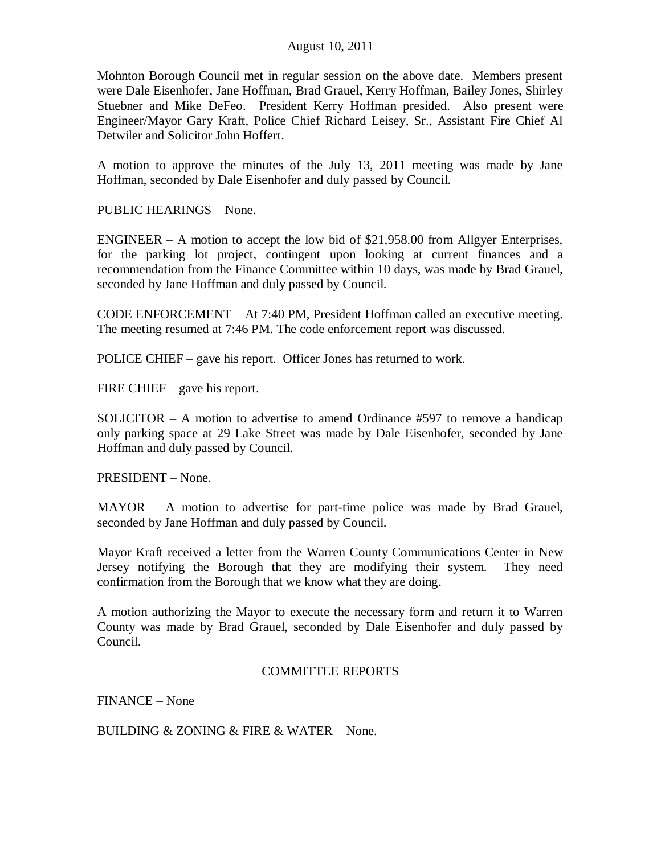Mohnton Borough Council met in regular session on the above date. Members present were Dale Eisenhofer, Jane Hoffman, Brad Grauel, Kerry Hoffman, Bailey Jones, Shirley Stuebner and Mike DeFeo. President Kerry Hoffman presided. Also present were Engineer/Mayor Gary Kraft, Police Chief Richard Leisey, Sr., Assistant Fire Chief Al Detwiler and Solicitor John Hoffert.

A motion to approve the minutes of the July 13, 2011 meeting was made by Jane Hoffman, seconded by Dale Eisenhofer and duly passed by Council.

PUBLIC HEARINGS – None.

ENGINEER – A motion to accept the low bid of \$21,958.00 from Allgyer Enterprises, for the parking lot project, contingent upon looking at current finances and a recommendation from the Finance Committee within 10 days, was made by Brad Grauel, seconded by Jane Hoffman and duly passed by Council.

CODE ENFORCEMENT – At 7:40 PM, President Hoffman called an executive meeting. The meeting resumed at 7:46 PM. The code enforcement report was discussed.

POLICE CHIEF – gave his report. Officer Jones has returned to work.

FIRE CHIEF – gave his report.

SOLICITOR – A motion to advertise to amend Ordinance #597 to remove a handicap only parking space at 29 Lake Street was made by Dale Eisenhofer, seconded by Jane Hoffman and duly passed by Council.

PRESIDENT – None.

MAYOR – A motion to advertise for part-time police was made by Brad Grauel, seconded by Jane Hoffman and duly passed by Council.

Mayor Kraft received a letter from the Warren County Communications Center in New Jersey notifying the Borough that they are modifying their system. They need confirmation from the Borough that we know what they are doing.

A motion authorizing the Mayor to execute the necessary form and return it to Warren County was made by Brad Grauel, seconded by Dale Eisenhofer and duly passed by Council.

## COMMITTEE REPORTS

FINANCE – None

BUILDING & ZONING & FIRE & WATER – None.